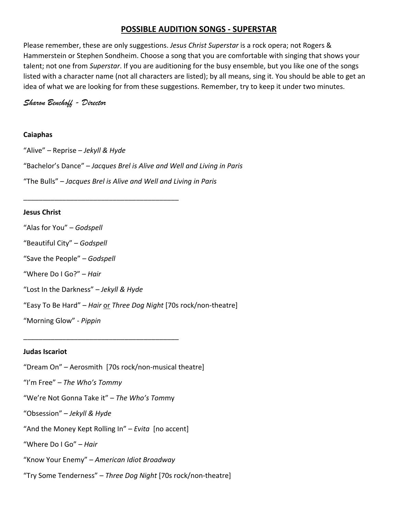# **POSSIBLE AUDITION SONGS ‐ SUPERSTAR**

Please remember, these are only suggestions. *Jesus Christ Superstar* is a rock opera; not Rogers & Hammerstein or Stephen Sondheim. Choose a song that you are comfortable with singing that shows your talent; not one from *Superstar*. If you are auditioning for the busy ensemble, but you like one of the songs listed with a character name (not all characters are listed); by all means, sing it. You should be able to get an idea of what we are looking for from these suggestions. Remember, try to keep it under two minutes.

*Sharon Benchoff - Director*

# **Caiaphas**

"Alive" – Reprise – *Jekyll & Hyde* "Bachelor's Dance" – *Jacques Brel is Alive and Well and Living in Paris* "The Bulls" – *Jacques Brel is Alive and Well and Living in Paris*

# **Jesus Christ**

"Alas for You" – *Godspell*

"Beautiful City" – *Godspell*

"Save the People" – *Godspell* 

"Where Do I Go?" – *Hair*

"Lost In the Darkness" – *Jekyll & Hyde*

\_\_\_\_\_\_\_\_\_\_\_\_\_\_\_\_\_\_\_\_\_\_\_\_\_\_\_\_\_\_\_\_\_\_\_\_\_\_\_\_

"Easy To Be Hard" – *Hair* or *Three Dog Night* [70s rock/non‐theatre]

"Morning Glow" ‐ *Pippin*

# **Judas Iscariot**

"Dream On" – Aerosmith [70s rock/non‐musical theatre]

"I'm Free" – *The Who's Tommy* 

"We're Not Gonna Take it" – *The Who's Tom*my

\_\_\_\_\_\_\_\_\_\_\_\_\_\_\_\_\_\_\_\_\_\_\_\_\_\_\_\_\_\_\_\_\_\_\_\_\_\_\_\_

"Obsession" – *Jekyll & Hyde*

"And the Money Kept Rolling In" – *Evita*  [no accent]

"Where Do I Go" – *Hair*

"Know Your Enemy" – *American Idiot Broadway*

"Try Some Tenderness" – *Three Dog Night* [70s rock/non‐theatre]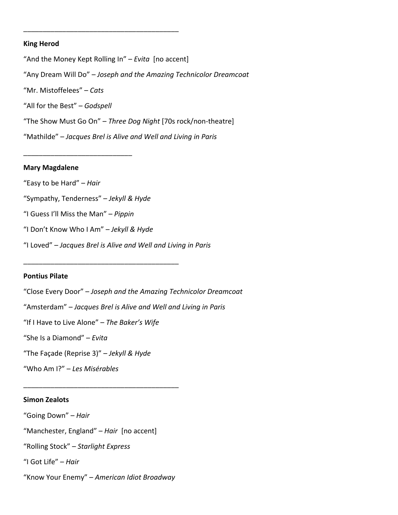#### **King Herod**

"And the Money Kept Rolling In" – *Evita* [no accent] "Any Dream Will Do" – *Joseph and the Amazing Technicolor Dreamcoat* "Mr. Mistoffelees" – *Cats* "All for the Best" – *Godspell* "The Show Must Go On" – *Three Dog Night* [70s rock/non‐theatre] "Mathilde" – *Jacques Brel is Alive and Well and Living in Paris*

\_\_\_\_\_\_\_\_\_\_\_\_\_\_\_\_\_\_\_\_\_\_\_\_\_\_\_\_\_\_\_\_\_\_\_\_\_\_\_\_

#### **Mary Magdalene**

"Easy to be Hard" – *Hair* "Sympathy, Tenderness" – *Jekyll & Hyde*

"I Guess I'll Miss the Man" – *Pippin* 

\_\_\_\_\_\_\_\_\_\_\_\_\_\_\_\_\_\_\_\_\_\_\_\_\_\_\_\_

"I Don't Know Who I Am" – *Jekyll & Hyde*

\_\_\_\_\_\_\_\_\_\_\_\_\_\_\_\_\_\_\_\_\_\_\_\_\_\_\_\_\_\_\_\_\_\_\_\_\_\_\_\_

"I Loved" – *Jacques Brel is Alive and Well and Living in Paris*

#### **Pontius Pilate**

"Close Every Door" – *Joseph and the Amazing Technicolor Dreamcoat* "Amsterdam" – *Jacques Brel is Alive and Well and Living in Paris* "If I Have to Live Alone" – *The Baker's Wife* "She Is a Diamond" – *Evita* "The Façade (Reprise 3)" – *Jekyll & Hyde* "Who Am I?" – *Les Misérables*

### **Simon Zealots**

"Going Down" – *Hair* 

"Manchester, England" – *Hair* [no accent]

"Rolling Stock" – *Starlight Express*

"I Got Life" – *Hair*

"Know Your Enemy" – *American Idiot Broadway*

\_\_\_\_\_\_\_\_\_\_\_\_\_\_\_\_\_\_\_\_\_\_\_\_\_\_\_\_\_\_\_\_\_\_\_\_\_\_\_\_